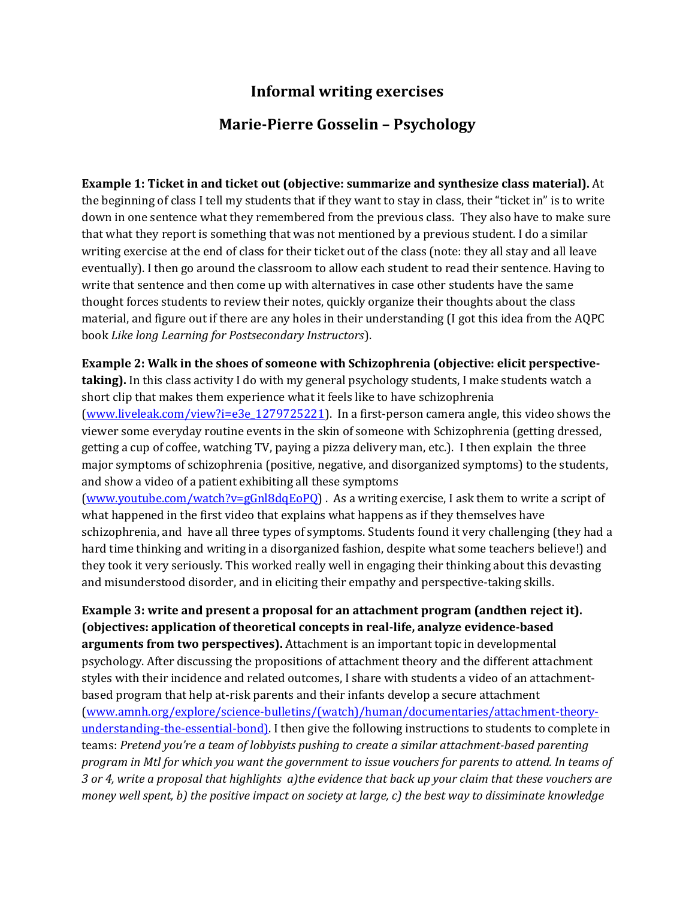## **Informal writing exercises**

## **Marie-Pierre Gosselin – Psychology**

**Example 1: Ticket in and ticket out (objective: summarize and synthesize class material).** At the beginning of class I tell my students that if they want to stay in class, their "ticket in" is to write down in one sentence what they remembered from the previous class. They also have to make sure that what they report is something that was not mentioned by a previous student. I do a similar writing exercise at the end of class for their ticket out of the class (note: they all stay and all leave eventually). I then go around the classroom to allow each student to read their sentence. Having to write that sentence and then come up with alternatives in case other students have the same thought forces students to review their notes, quickly organize their thoughts about the class material, and figure out if there are any holes in their understanding (I got this idea from the AQPC book *Like long Learning for Postsecondary Instructors*).

**Example 2: Walk in the shoes of someone with Schizophrenia (objective: elicit perspectivetaking).** In this class activity I do with my general psychology students, I make students watch a short clip that makes them experience what it feels like to have schizophrenia [\(www.liveleak.com/view?i=e3e\\_1279725221\)](http://www.liveleak.com/view?i=e3e_1279725221). In a first-person camera angle, this video shows the viewer some everyday routine events in the skin of someone with Schizophrenia (getting dressed, getting a cup of coffee, watching TV, paying a pizza delivery man, etc.). I then explain the three major symptoms of schizophrenia (positive, negative, and disorganized symptoms) to the students, and show a video of a patient exhibiting all these symptoms

[\(www.youtube.com/watch?v=gGnl8dqEoPQ\)](http://www.youtube.com/watch?v=gGnl8dqEoPQ) . As a writing exercise, I ask them to write a script of what happened in the first video that explains what happens as if they themselves have schizophrenia, and have all three types of symptoms. Students found it very challenging (they had a hard time thinking and writing in a disorganized fashion, despite what some teachers believe!) and they took it very seriously. This worked really well in engaging their thinking about this devasting and misunderstood disorder, and in eliciting their empathy and perspective-taking skills.

**Example 3: write and present a proposal for an attachment program (andthen reject it). (objectives: application of theoretical concepts in real-life, analyze evidence-based arguments from two perspectives).** Attachment is an important topic in developmental psychology. After discussing the propositions of attachment theory and the different attachment styles with their incidence and related outcomes, I share with students a video of an attachmentbased program that help at-risk parents and their infants develop a secure attachment [\(www.amnh.org/explore/science-bulletins/\(watch\)/human/documentaries/attachment-theory](http://www.amnh.org/explore/science-bulletins/(watch)/human/documentaries/attachment-theory-understanding-the-essential-bond))[understanding-the-essential-bond\).](http://www.amnh.org/explore/science-bulletins/(watch)/human/documentaries/attachment-theory-understanding-the-essential-bond)) I then give the following instructions to students to complete in teams: *Pretend you're a team of lobbyists pushing to create a similar attachment-based parenting program in Mtl for which you want the government to issue vouchers for parents to attend. In teams of 3 or 4, write a proposal that highlights a)the evidence that back up your claim that these vouchers are money well spent, b) the positive impact on society at large, c) the best way to dissiminate knowledge*